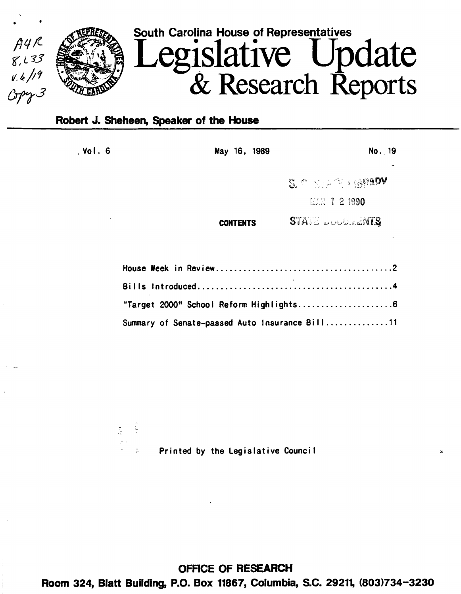

# Robert J. Sheheen, Speaker of the House

 $\frac{1}{\sqrt{2}}$ 

 $\frac{1}{2}$ 

, Vol. 6 **May 16, 1989** No. 19

S. P. STATE REPADY

 $12.21990$ 

**STATE DUCORMENTS** CONTENTS

| Summary of Senate-passed Auto Insurance Bill11 |  |
|------------------------------------------------|--|

Printed by the legislative Counci I

OFRCE OF RESEARCH Room 324, Blatt Building, P.O. Box 11867, Columbia, S.C. 29211, (803)734-3230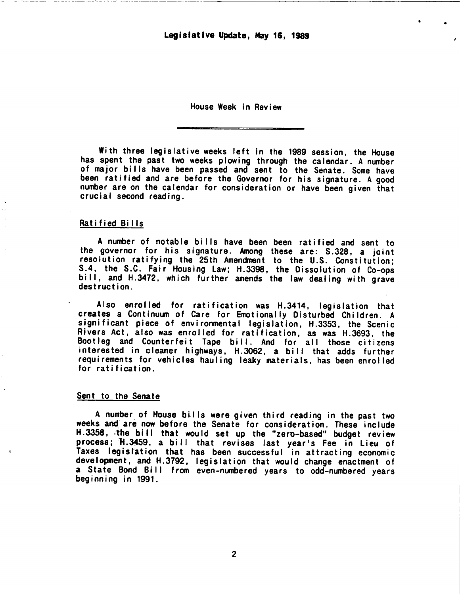Legislative Update, May 16, 1989

 $\cdot$   $\cdot$ 

House Week in Review

With three legislative weeks left in the 1989 session, the House has spent the past two weeks plowing through the calendar. A number of major bi lis have been passed and sent to the Senate. Some have been ratified and are before the Governor for his signature. A good number are on the calendar for consideration or have been given that crucial second reading.

# Ratified Bi lis

A number of notable bills have been been ratified and sent to the governor for his signature. Among these are: S.328, a joint resolution ratifying the 25th Amendment to the U.S. Constitution; S.4, the S.C. Fair Housing Law; H.3398, the Dissolution of Co-ops bill, and H.3472, which further amends the law dealing with grave destruction.

Also enrolled for ratification was H.3414, legislation that creates a Continuum of Care for Emotionally Disturbed Children. A significant piece of environmental legislation, H.3353, the Scenic Rivers Act, also was enrolled for ratification, as was H.3693, the Bootleg and Counterfeit Tape bill. And for all those citizens interested in cleaner highways, H.3062, a bi II that adds further requirements for vehicles hauling leaky materials, has been enrolled for ratification.

# Sent to the Senate

A number of House bills were given third reading in the past two weeks and are now before the Senate for consideration. These include H.3358, •the bi II that would set up the "zero-based" budget review process; H.3459, a bill that revises last year's Fee in Lieu of Taxes legistation that has been successful in attracting economic development, and H.3792, legislation that would change enactment of a State Bond Bill from even-numbered years to odd-numbered years beginning in 1991.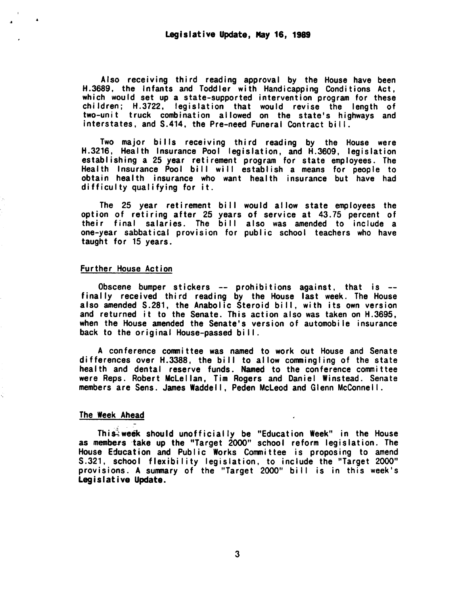Also receiving third reading approval by the House have been H.3689, the Infants and Toddler with Handicapping Conditions Act, which would set up a state-supported intervention program for these children; H.3722, legislation that would revise the length of two-unit truck combination allowed on the state's highways and interstates, and S.414, the Pre-need Funeral Contract bi II.

Two major bills receiving third reading by the House were H.3216, Health Insurance Pool legislation, and H.3609, legislation establishing a 25 year retirement program for state employees. The Health Insurance Pool bill will establish a means for people to obtain health insurance who want health insurance but have had difficulty qualifying for it.

The 25 year retirement bill would allow state employees the option of retiring after 25 years of service at 43.75 percent of their final salaries. The bill also was amended to include a one-year sabbatical provision for public school teachers who have taught for 15 years.

# Further House Action

..

Obscene bumper stickers -- prohibitions against, that is -finally received third reading by the House last week. The House also amended S.281, the Anabolic Steroid bill, with its own version and returned it to the Senate. This action also was taken on H.3695, when the House amended the Senate's version of automobile insurance back to the original House-passed bill.

A con terence cornni ttee was named to work out House and Senate differences over H.3388, the bill to allow commingling of the state health and dental reserve funds. Named to the conference committee were Reps. Robert Mclellan, Tim Rogers and Daniel Winstead. Senate members are Sens. James Waddel I, Peden Mcleod and Glenn McConnel I.

#### The Week Ahead

This: week should unofficially be "Education Week" in the House as members take up the "Target 2000" school reform legislation. The House Education and Public Works Committee is proposing to amend S.321, school flexibility legislation, to include the "Target 2000" provisions. A summary of the "Target 2000" bi II is in this week's Legislative Update.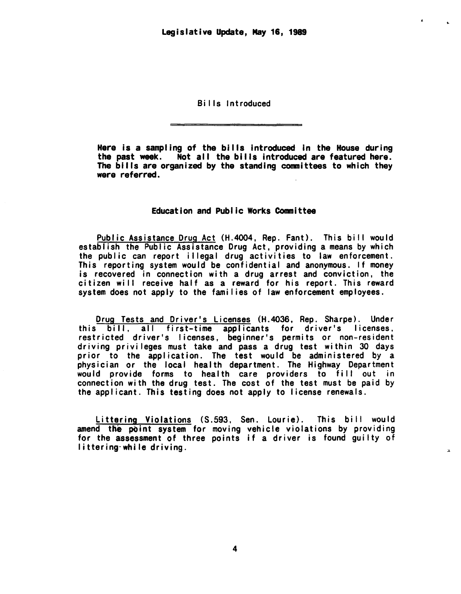..

 $\mathbf{x}$ 

# Bills introduced

Here is a sampling of the bills introduced in the House during<br>the past week. Not all the bills introduced are featured here. The bills are organized by the standing committees to which they were referred.

# Education and Public Works Committee

Public Assistance Drug Act (H.4004, Rep. Fant). This bi II would establish the Public Assistance Drug Act, providing a means by which the public can report illegal drug activities to law enforcement.<br>This reporting system would be confidential and anonymous. If money is recovered in connection with a drug arrest and conviction, the citizen will receive half as a reward for his report. This reward system does not apply to the families of law enforcement employees.

Drug Tests and Driver's Licenses (H.4036, Rep. Sharpe). Under this bill, all first-time applicants for driver's licenses, restricted driver's licenses, beginner's permits or non-resident driving privileges must take and pass a drug test within 30 days prior to the application. The test would be administered by a physician or the local health department. The Highway Department would provide forms to health care providers to fill out in connection with the drug test. The cost of the test must be paid by the applicant. This testing does not apply to license renewals.

Littering Violations (S.593, Sen. Lourie). This bill would amend the point system for moving vehicle violations by providing for the assessment of three points if a driver is found guilty of littering-while driving.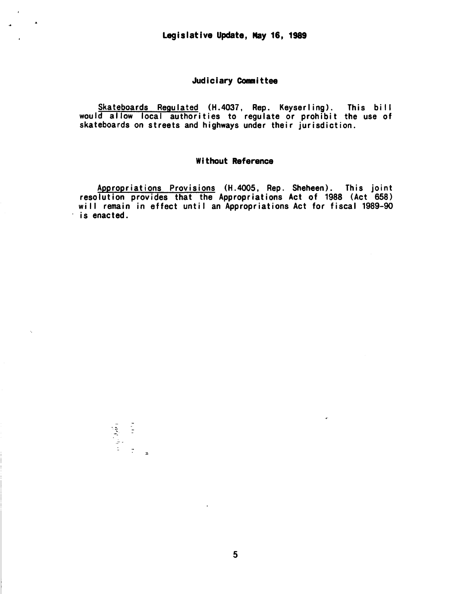# Judiciary Committee

Skateboards Regulated (H.4037, Rep. Keyserling). This bi II would allow local authorities to regulate or prohibit the use of skateboards on streets and highways under their jurisdiction.

#### Without Reference

Appropriations Provisions (H.4005, Rep. Sheheen). This joint resolution provides that the Appropriations Act of 1988 (Act 658) will remain in effect until an Appropriations Act for fiscal 1989-90 is enacted.

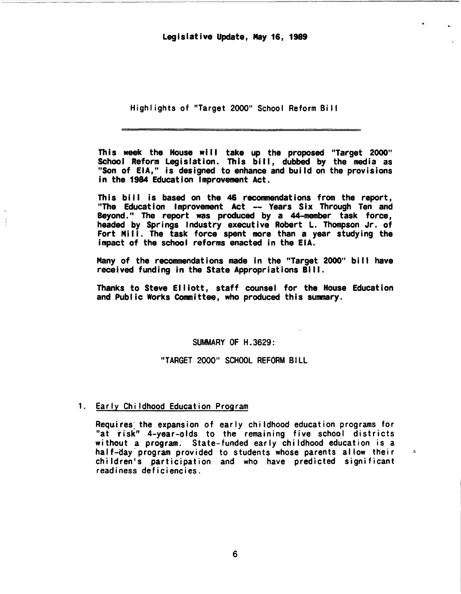High I ights of "Target 2000" School Reform Bi II

This week the House will take up the proposed "Target 2000" School Reform Legislation. This bill, dubbed by the media as "Son of EIA," is designed to enhance and build on the provisions in the 1984 Education Improvement Act.

This bill is based on the 46 recommendations from the report, "The Education Improvement Act -- Years Six Through Ten and Beyond. " The report was produced by a 44-member task force, headed by Springs Industry executive Robert L. Thompson Jr. of Fort Mill. The task force spent more than a year studying the impact of the school reforms enacted in the EIA.

Many of the recommendations made in the "Target 2000" bill have received funding in the State Appropriations Bill.

Thanks to Steve Elliott, staff counsel for the House Education and Public Works Committee, who produced this summary.

# SUMMARY OF H.3629:

"TARGET 2000" SCHOOL REFORM BILL

# 1. Early Childhood Education Program

Ŕ,

Requires the expansion of early childhood education programs for "at risk" 4-year-olds to the remaining five school districts without a program. State-funded early childhood education is a hal f-day-program provided to students whose parents allow their children's participation and who have predicted significant readiness deficiencies.

 $\mathbf{z}$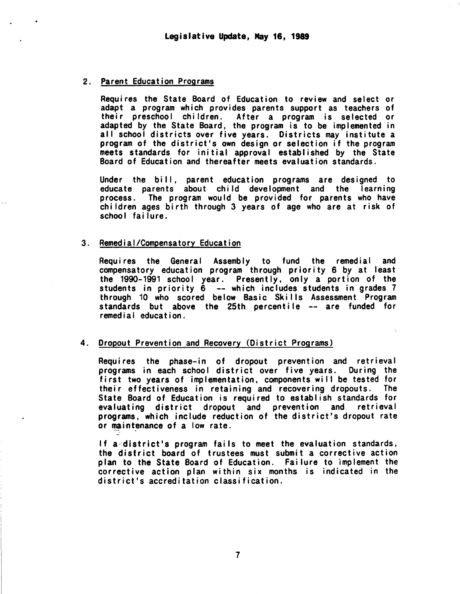#### 2. Parent Education Programs

Requires the State Board of Education to review and select or adapt a program which provides parents support as teachers of their preschool children. After a program is selected or adapted by the State Board, the program is to be implemented in all school districts over five years. Districts may institute a program of the district's own design or selection if the program meets standards for initial approval established by the State Board of Education and thereafter meets evaluation standards.

Under the bi II, parent education programs are designed to educate parents about child development and the learning process. The program would be provided for parents who have children ages birth through 3 years of age who are at risk of school failure.

#### 3. Remedial/Compensatory Education

Requires the General Assembly to fund the remedial and compensatory education program through priority 6 by at least the 1990-1991 school year. Presently, only a portion of the students in priority 6 --which includes students in grades 7 through 10 who scored below Basic Ski lis Assessment Program standards but above the 25th percentile -- are funded for remedial education.

# 4. Dropout Prevention and Recovery (District Programs)

Requires the phase-in of dropout prevention and retrieval programs in each school district over five years. During the first two years of implementation, components will be tested for their effectiveness in retaining and recovering dropouts. The State Board of Education is required to establish standards for evaluating district dropout and prevention and retrieval programs, which include reduction of the district's dropout rate or maintenance of a low rate.

If a-district's program fails to meet the evaluation standards, the district board of trustees must submit a corrective action plan to the State Board of Education. Failure to implement the corrective action plan within six months is indicated in the district's accreditation classification.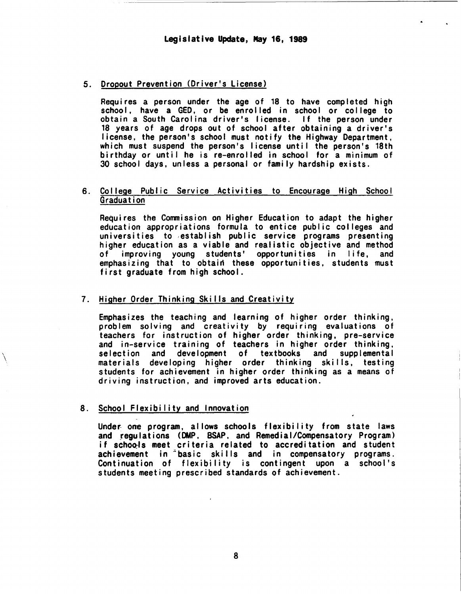# 5. Dropout Prevention (Driver's license)

Requires a person under the age of 18 to have completed high school, have a GED, or be enrolled in school or college to obtain a South Carolina driver's license. If the person under 18 years of age drops out of school after obtaining a driver's license, the person's school must notify the Highway Department, which must suspend the person's license until the person's 18th birthday or until he is re-enrolled in school for a minimum of 30 school days, unless a personal or family hardship exists.

# 6. College Public Service Activities to Encourage High School Graduation

Requires the Commission on Higher Education to adapt the higher education appropriations formula to entice public colleges and universities to ,establish public service programs presenting higher education as a viable and realistic objective and method<br>of improving voung students' opportunities in life, and improving young students' opportunities in life, emphasizing that to obtain these opportunities, students must first graduate from high school.

# 7. Higher Order Thinking Skills and Creativity

Emphasizes the teaching and learning of higher order thinking, problem solving and creativity by requiring evaluations of teachers for instruction of higher order thinking, pre-service and in-service training of teachers in higher order thinking, selection and development of textbooks and supplemental materials developing higher order thinking skills, testing students for achievement in higher order thinking as a means of driving instruction, and improved arts education.

# 8. School Flexibility and Innovation

\  $\lambda$ 

> Under one program, allows schools flexibility from state laws and regulations (DMP, BSAP, and Remedial/Compensatory Program) if schools meet criteria related to accreditation and student achievement in <sup>2</sup> basic skills and in compensatory programs. Continuation of flexibility is contingent upon a school's students meeting prescribed standards of achievement.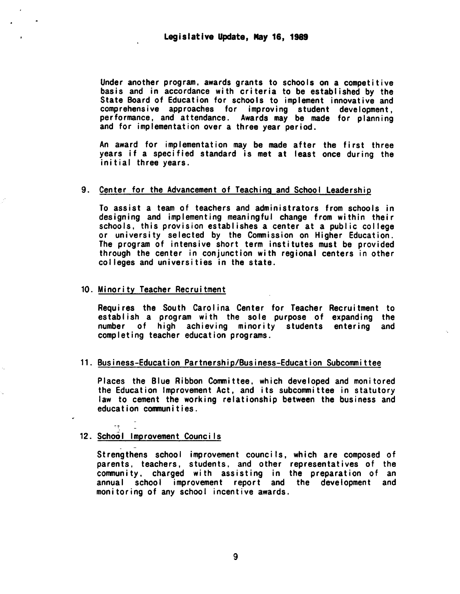Under another program, awards grants to schools on a competitive basis and in accordance with criteria to be established by the State Board of Education for schools to implement innovative and comprehensive approaches for improving student development, performance, and attendance. Awards may be made for planning and for implementation over a three year period.

An award for implementation may be made after the first three years if a specified standard is met at least once during the initial three years.

# 9. Center for the Advancement of Teaching and School Leadership

To assist a team of teachers and administrators from schools in designing and implementing meaningful change from within their schools, this provision establishes a center at a public college or university selected by the Commission on Higher Education. The program of intensive short term institutes must be provided through the center in conjunction with regional centers in other col leges and universities in the state.

# 10. Minority Teacher Recruitment

Requires the South Carol ina Center for Teacher Recruitment to establish a program with the sole purpose of expanding the number of high achieving minority students entering and completing teacher education programs.

#### 11. Business-Education Partnership/Business-Education Subcommittee

Places the Blue Ribbon Conmi ttee, which developed and monitored the Education Improvement Act, and its subcommittee in statutory law to cement the working relationship between the business and education conmunities.

# 12. School Improvement Councils

Strengthens school improvement councils, which are composed of parents, teachers, students, and other representatives of the community. charged with assisting in the preparation of an annual school improvement report and the development and monitoring of any school incentive awards.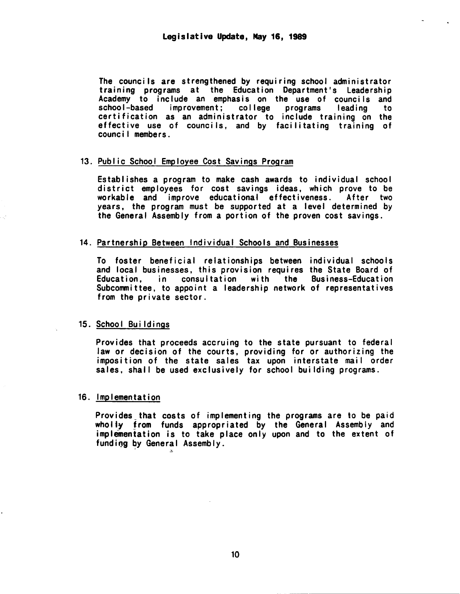The councils are strengthened by requiring school administrator<br>training programs at the Education Department's Leadership Academy to include an emphasis on the use of councils and school-based improvement; college programs leading to certification as an administrator to include training on the effective use of counci Is, and by facilitating training of counc i I members .

#### 13. Public School Employee Cost Savings Program

Establishes a program to make cash awards to individual school district employees for cost savings ideas, which prove to be workable and improve educational effectiveness. After two years, the program must be supported at a level determined by the General Assembly from a portion of the proven cost savings.

# 14. Partnership Between Individual Schools and Businesses

To foster beneficial relationships between individual schools and local businesses, this provision requires the State Board of<br>Education. in consultation with the Business-Education consultation with the Business-Education Subcommittee, to appoint a leadership network of representatives from the private sector.

# 15. School Buildings

Provides that proceeds accruing to the state pursuant to federal law or decision of the courts, providing for or authorizing the imposition of the state sales tax upon interstate mail order sales, shall be used exclusively for school building programs.

# 16. Implementation

;,.

Provides that costs of implementing the programs are to be paid wholly from funds appropriated by the General Assembly and implementation is to take place only upon and to the extent of funding by General Assembly.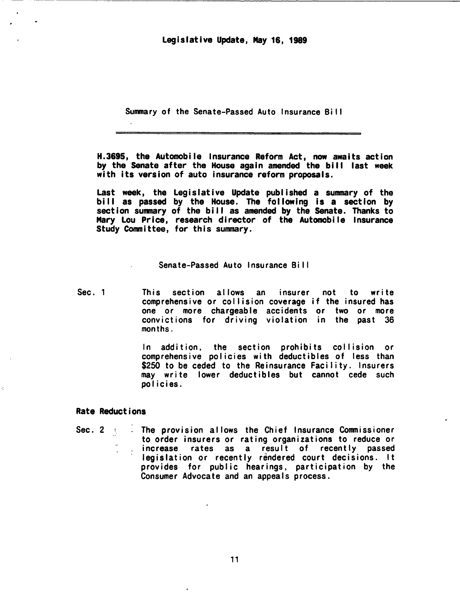Legislative Update, May 16, 1989

Summary of the Senate-Passed Auto Insurance Bi II

H. 3695, the Automobile Insurance Reform Act, now awaits action by the Senate after the House again amended the bi II last week with its version of auto insurance reform proposals.

Last week, the Legislative Update published a summary of the bi II as passed by the House. The following is a section by section summary of the bill as amended by the Senate. Thanks to Mary Lou Price, research director of the Automobile Insurance Study Committee, for this summary.

# Senate-Passed Auto Insurance Bi I I

Sec. 1 This section allows an insurer not to write comprehensive or collision coverage if the insured has one or more chargeable accidents or two or more convictions for driving violation in the past 36 months.

> In addition, the section prohibits collision or comprehensive policies with deductibles of less than \$250 to be ceded to the Reinsurance Facility. Insurers may write lower deductibles but cannot cede such policies.

# Rate Reductions

Sec. 2 The provision allows the Chief Insurance Commissioner<br>to order insurers or rating organizations to reduce or increase rates as a result of recently passed<br>legislation or recently rendered court decisions. It provides for public hearings, participation by the Consumer Advocate and an appeals process.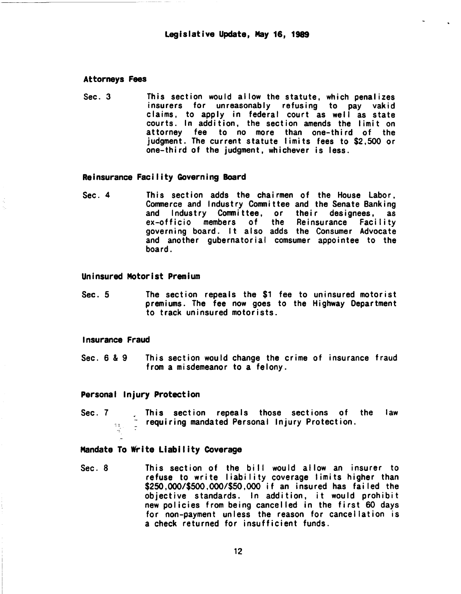# Attorneys Fees

-------------~~ ~----- -

Sec. 3 This section would allow the statute, which penalizes insurers for unreasonably refusing to pay vakid claims, to apply in federal court as well as state courts. In addition, the section amends the limit on attorney fee to no more than one-third of the judgment. The current statute limits fees to \$2,500 or one-third of the judgment, whichever is less.

#### Reinsurance Facility Governing Board

Sec. 4 This section adds the chairmen of the House Labor, Commerce and Industry Committee and the Senate Banking and Industry Committee, or their designees, as<br>ex-officio members of the Reinsurance Facility ex-officio members of governing board. It also adds the Consumer Advocate and another gubernatorial comsumer appointee to the board.

# Uninsured Motorist Premium

Sec. 5 The section repeals the \$1 fee to uninsured motorist premiums. The fee now goes to the Highway Department to track uninsured motorists.

# Insurance Fraud

Sec. 6 & 9 This section would change the crime of insurance fraud from a misdemeanor to a felony.

# Personal Injury Protection

Sec. 7 **Fixtube 2** Find repeals those sections of the law  $\frac{1}{2}$  requiring mandated Personal Injury Protection.

# Mandate To write Liability Coverage

Sec. 8 This section of the bill would allow an insurer to refuse to write liability coverage limits higher than \$250,000/\$500,000/\$50,000 if an insured has failed the objective standards. In addition, it would prohibit new policies from being cancelled in the first 60 days for non-payment unless the reason for cancellation is a check returned for insufficient funds.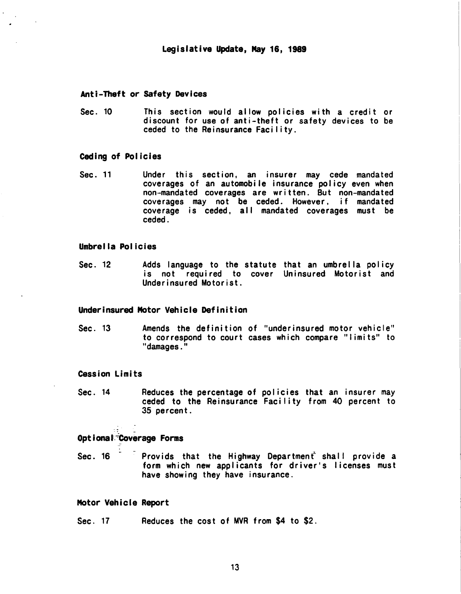#### Anti-Theft or Safety Devices

Sec. 10 This section would allow policies with a credit or discount for use of anti-theft or safety devices to be ceded to the Reinsurance Facility.

#### Ceding of Policies

Sec. 11 Under this section, an insurer may cede mandated coverages of an automobile insurance policy even when non-mandated coverages are written. But non-mandated coverages may not be ceded. However, if mandated coverage is ceded, all mandated coverages must be ceded.

# Umbrella Policies

Sec. 12 Adds language to the statute that an umbrella policy is not required to cover Uninsured Motorist and Underinsured Motorist.

# Underinsured Motor Vehicle Definition

Sec. 13 Amends the definition of "underinsured motor vehicle" to correspond to court cases which compare "I imits" to "damages."

# Cession Limits

Sec. 14 Reduces the percentage of policies that an insurer may ceded to the Reinsurance Facility from 40 percent to 35 percent.

# optional<sup>-</sup>Coverage Forms

Sec. 16 Provids that the Highway Department shall provide a form which new applicants for driver's I icenses must have showing they have insurance.

# Motor Vehicle Report

Sec. 17 Reduces the cost of MVR from \$4 to \$2.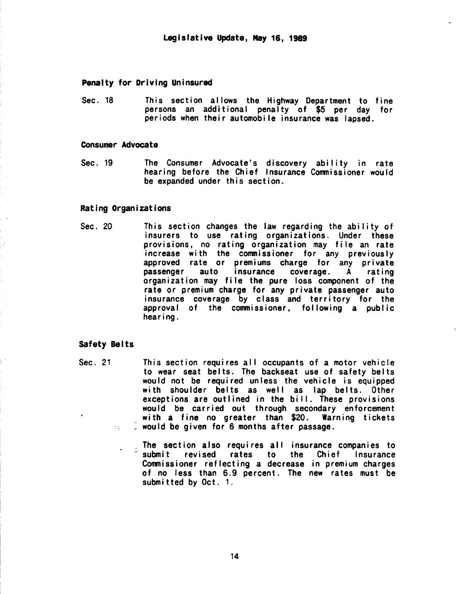# Penalty for Driving Uninsured

Sec. 18 This section allows the Highway Department to fine persons an additional penalty of \$5 per day for periods when their automobile insurance was lapsed.

#### Consumer Advocate

Sec. 19 The Consumer Advocate's discovery ability in rate hearing before the Chief Insurance Commissioner would be expanded under this section.

#### Rating Organizations

Sec. 20 This section changes the law regarding the ability of insurers to use rating organizations. Under these provisions, no rating organization may file an rate increase with the commissioner for any previously approved rate or premiums charge for any private passenger auto insurance coverage. A rating organization may file the pure loss component of the rate or premium charge for any private passenger auto insurance coverage by class and territory for the approval of the commissioner, following a public hearing.

# Safety Belts

- Sec. 21 This section requires all occupants of a motor vehicle to wear seat belts. The backseat use of safety belts would not be required unless the vehicle is equipped with shoulder belts as well as lap belts. Other exceptions are outlined in the bill. These provisions would be carried out through secondary enforcement with a fine no greater than \$20. Warning tickets would be given for 6 months after passage. 74.
	- The section also requires all insurance companies to Submit revised rates to the Chief Insurance Commissioner reflecting a decrease in premium charges of no less than 6.9 percent. The new rates must be submitted by Oct. 1.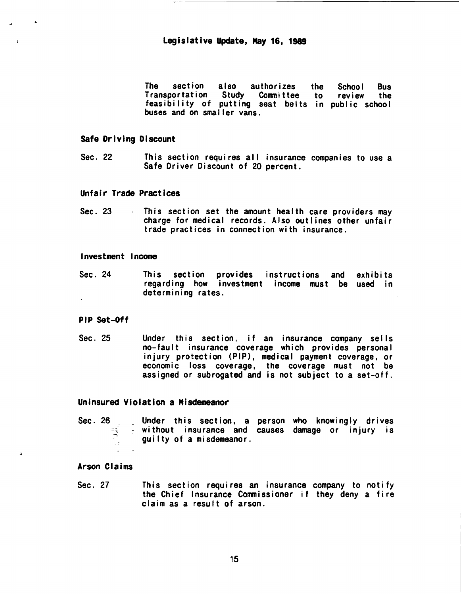The section also authorizes the Transportation Study Committee to feasibility of putting seat belts in buses and on smaller vans. School Bus review the pub I ic school

# 5afe Driving Discount

 $\cdot$ 

 $\overline{\mathbf{z}}$ 

Sec. 22 This section requires all insurance companies to use a Safe Driver Discount of 20 percent.

## Unfair Trade Practices

Sec. 23 This section set the amount health care providers may charge for medical records. Also outlines other unfair trade practices in connection with insurance.

#### Investment Income

Sec. 24 This section provides instructions and exhibits regarding how investment income must be used in determining rates.

# PIP Set-Off

Sec. 25 Under this section, if an insurance company sells<br>no-fault insurance coverage which provides personal injury protection (PIP), medical payment coverage, or economic loss coverage, the coverage must not be assigned or subrogated and is not subject to a set-off.

# Uninsured Violation a Misdemeanor

Sec. 26 Under this section, a person who knowingly drives<br>without insurance and causes damage or injury is guilty of a misdemeanor.

# Arson Claims

Sec. 27 This section requires an insurance company to notify the Chief Insurance Commissioner if they deny a fire claim as a result of arson.